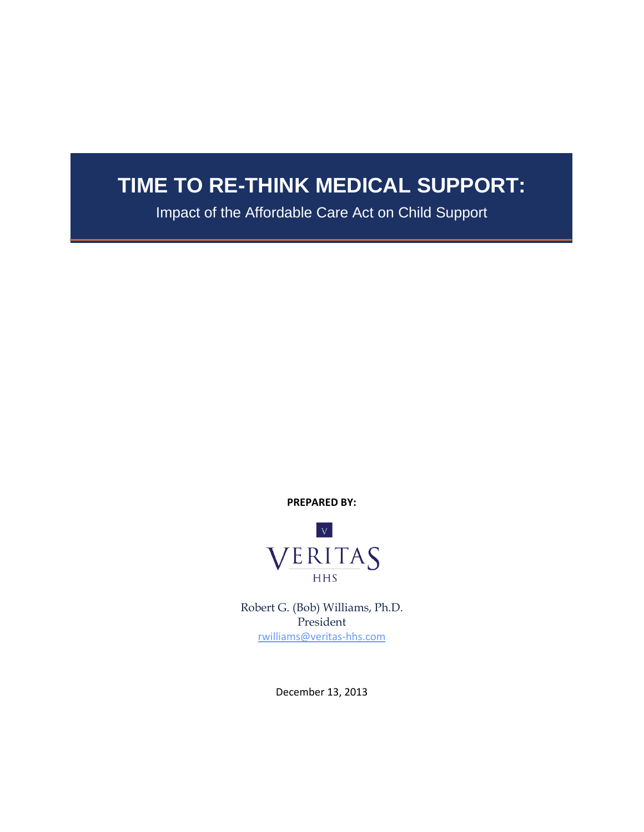# **TIME TO RE-THINK MEDICAL SUPPORT:**

Impact of the Affordable Care Act on Child Support

**PREPARED BY:**



Robert G. (Bob) Williams, Ph.D. President [rwilliams@veritas-hhs.com](mailto:rwilliams@veritas-hhs.com)

December 13, 2013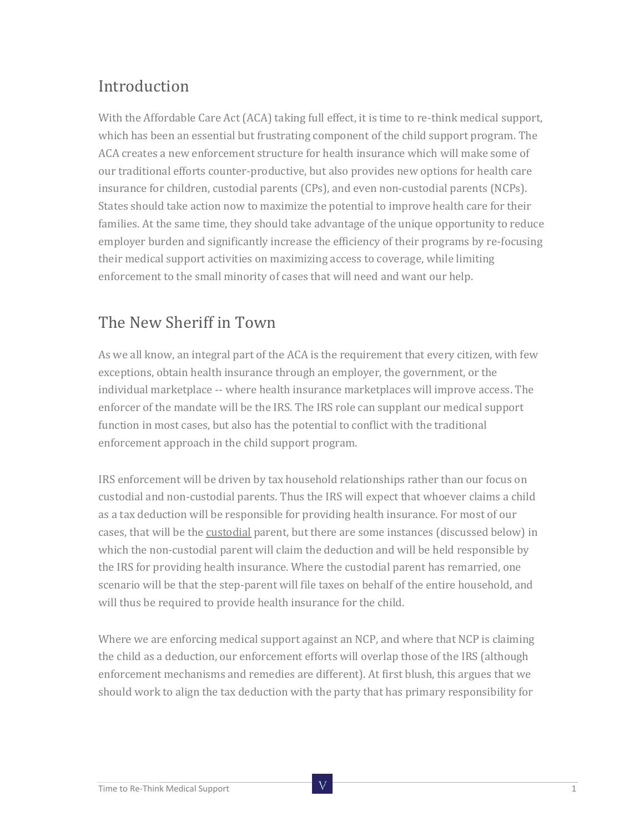## Introduction

With the Affordable Care Act (ACA) taking full effect, it is time to re-think medical support, which has been an essential but frustrating component of the child support program. The ACA creates a new enforcement structure for health insurance which will make some of our traditional efforts counter-productive, but also provides new options for health care insurance for children, custodial parents (CPs), and even non-custodial parents (NCPs). States should take action now to maximize the potential to improve health care for their families. At the same time, they should take advantage of the unique opportunity to reduce employer burden and significantly increase the efficiency of their programs by re-focusing their medical support activities on maximizing access to coverage, while limiting enforcement to the small minority of cases that will need and want our help.

#### The New Sheriff in Town

As we all know, an integral part of the ACA is the requirement that every citizen, with few exceptions, obtain health insurance through an employer, the government, or the individual marketplace -- where health insurance marketplaces will improve access. The enforcer of the mandate will be the IRS. The IRS role can supplant our medical support function in most cases, but also has the potential to conflict with the traditional enforcement approach in the child support program.

IRS enforcement will be driven by tax household relationships rather than our focus on custodial and non-custodial parents. Thus the IRS will expect that whoever claims a child as a tax deduction will be responsible for providing health insurance. For most of our cases, that will be the custodial parent, but there are some instances (discussed below) in which the non-custodial parent will claim the deduction and will be held responsible by the IRS for providing health insurance. Where the custodial parent has remarried, one scenario will be that the step-parent will file taxes on behalf of the entire household, and will thus be required to provide health insurance for the child.

Where we are enforcing medical support against an NCP, and where that NCP is claiming the child as a deduction, our enforcement efforts will overlap those of the IRS (although enforcement mechanisms and remedies are different). At first blush, this argues that we should work to align the tax deduction with the party that has primary responsibility for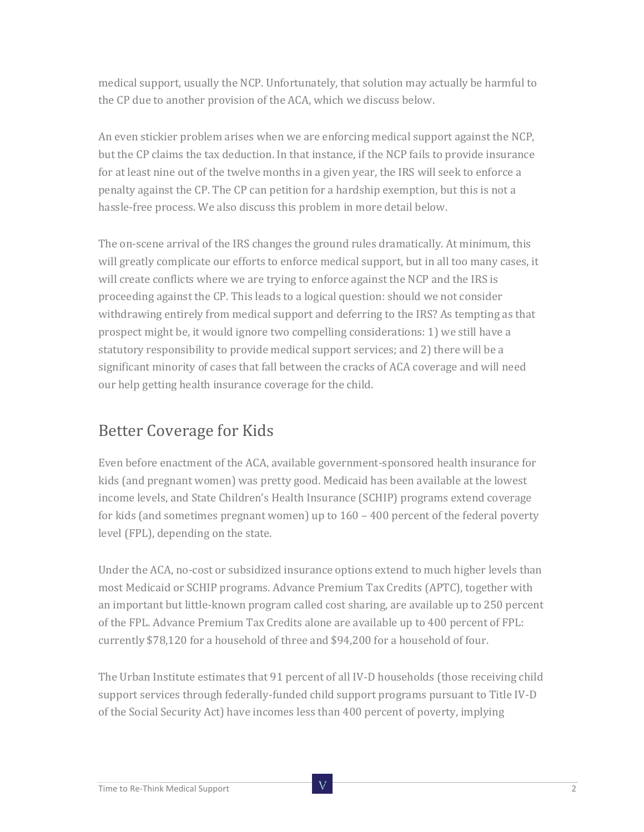medical support, usually the NCP. Unfortunately, that solution may actually be harmful to the CP due to another provision of the ACA, which we discuss below.

An even stickier problem arises when we are enforcing medical support against the NCP, but the CP claims the tax deduction. In that instance, if the NCP fails to provide insurance for at least nine out of the twelve months in a given year, the IRS will seek to enforce a penalty against the CP. The CP can petition for a hardship exemption, but this is not a hassle-free process. We also discuss this problem in more detail below.

The on-scene arrival of the IRS changes the ground rules dramatically. At minimum, this will greatly complicate our efforts to enforce medical support, but in all too many cases, it will create conflicts where we are trying to enforce against the NCP and the IRS is proceeding against the CP. This leads to a logical question: should we not consider withdrawing entirely from medical support and deferring to the IRS? As tempting as that prospect might be, it would ignore two compelling considerations: 1) we still have a statutory responsibility to provide medical support services; and 2) there will be a significant minority of cases that fall between the cracks of ACA coverage and will need our help getting health insurance coverage for the child.

#### Better Coverage for Kids

Even before enactment of the ACA, available government-sponsored health insurance for kids (and pregnant women) was pretty good. Medicaid has been available at the lowest income levels, and State Children's Health Insurance (SCHIP) programs extend coverage for kids (and sometimes pregnant women) up to 160 – 400 percent of the federal poverty level (FPL), depending on the state.

Under the ACA, no-cost or subsidized insurance options extend to much higher levels than most Medicaid or SCHIP programs. Advance Premium Tax Credits (APTC), together with an important but little-known program called cost sharing, are available up to 250 percent of the FPL. Advance Premium Tax Credits alone are available up to 400 percent of FPL: currently \$78,120 for a household of three and \$94,200 for a household of four.

The Urban Institute estimates that 91 percent of all IV-D households (those receiving child support services through federally-funded child support programs pursuant to Title IV-D of the Social Security Act) have incomes less than 400 percent of poverty, implying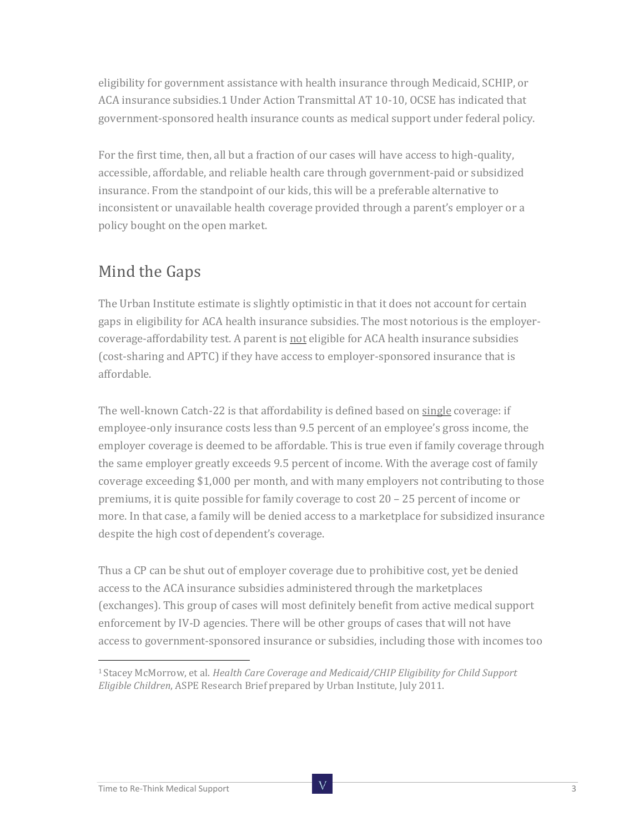eligibility for government assistance with health insurance through Medicaid, SCHIP, or ACA insurance subsidies.1 Under Action Transmittal AT 10-10, OCSE has indicated that government-sponsored health insurance counts as medical support under federal policy.

For the first time, then, all but a fraction of our cases will have access to high-quality, accessible, affordable, and reliable health care through government-paid or subsidized insurance. From the standpoint of our kids, this will be a preferable alternative to inconsistent or unavailable health coverage provided through a parent's employer or a policy bought on the open market.

#### Mind the Gaps

The Urban Institute estimate is slightly optimistic in that it does not account for certain gaps in eligibility for ACA health insurance subsidies. The most notorious is the employercoverage-affordability test. A parent is not eligible for ACA health insurance subsidies (cost-sharing and APTC) if they have access to employer-sponsored insurance that is affordable.

The well-known Catch-22 is that affordability is defined based on single coverage: if employee-only insurance costs less than 9.5 percent of an employee's gross income, the employer coverage is deemed to be affordable. This is true even if family coverage through the same employer greatly exceeds 9.5 percent of income. With the average cost of family coverage exceeding \$1,000 per month, and with many employers not contributing to those premiums, it is quite possible for family coverage to cost 20 – 25 percent of income or more. In that case, a family will be denied access to a marketplace for subsidized insurance despite the high cost of dependent's coverage.

Thus a CP can be shut out of employer coverage due to prohibitive cost, yet be denied access to the ACA insurance subsidies administered through the marketplaces (exchanges). This group of cases will most definitely benefit from active medical support enforcement by IV-D agencies. There will be other groups of cases that will not have access to government-sponsored insurance or subsidies, including those with incomes too

<sup>1</sup> Stacey McMorrow, et al. *Health Care Coverage and Medicaid/CHIP Eligibility for Child Support Eligible Children*, ASPE Research Brief prepared by Urban Institute, July 2011.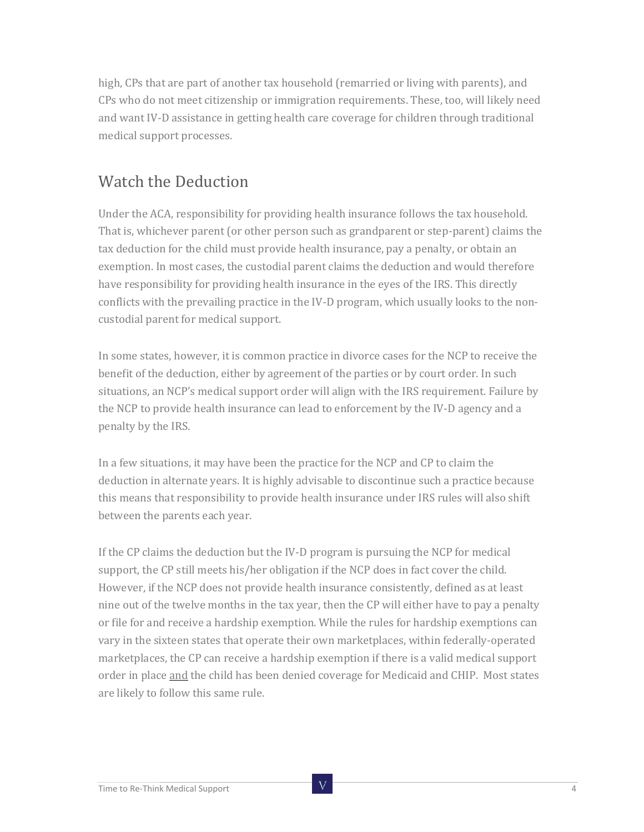high, CPs that are part of another tax household (remarried or living with parents), and CPs who do not meet citizenship or immigration requirements. These, too, will likely need and want IV-D assistance in getting health care coverage for children through traditional medical support processes.

#### Watch the Deduction

Under the ACA, responsibility for providing health insurance follows the tax household. That is, whichever parent (or other person such as grandparent or step-parent) claims the tax deduction for the child must provide health insurance, pay a penalty, or obtain an exemption. In most cases, the custodial parent claims the deduction and would therefore have responsibility for providing health insurance in the eyes of the IRS. This directly conflicts with the prevailing practice in the IV-D program, which usually looks to the noncustodial parent for medical support.

In some states, however, it is common practice in divorce cases for the NCP to receive the benefit of the deduction, either by agreement of the parties or by court order. In such situations, an NCP's medical support order will align with the IRS requirement. Failure by the NCP to provide health insurance can lead to enforcement by the IV-D agency and a penalty by the IRS.

In a few situations, it may have been the practice for the NCP and CP to claim the deduction in alternate years. It is highly advisable to discontinue such a practice because this means that responsibility to provide health insurance under IRS rules will also shift between the parents each year.

If the CP claims the deduction but the IV-D program is pursuing the NCP for medical support, the CP still meets his/her obligation if the NCP does in fact cover the child. However, if the NCP does not provide health insurance consistently, defined as at least nine out of the twelve months in the tax year, then the CP will either have to pay a penalty or file for and receive a hardship exemption. While the rules for hardship exemptions can vary in the sixteen states that operate their own marketplaces, within federally-operated marketplaces, the CP can receive a hardship exemption if there is a valid medical support order in place and the child has been denied coverage for Medicaid and CHIP. Most states are likely to follow this same rule.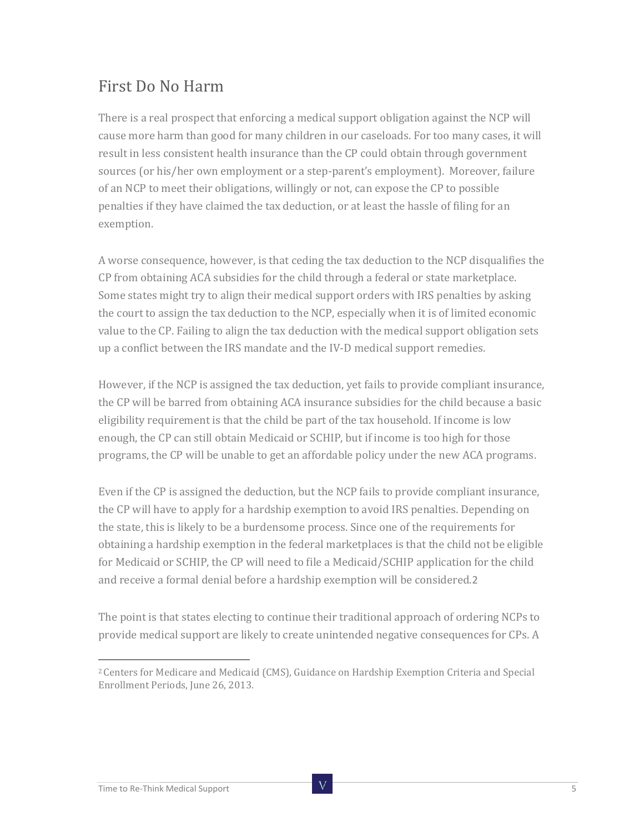#### First Do No Harm

There is a real prospect that enforcing a medical support obligation against the NCP will cause more harm than good for many children in our caseloads. For too many cases, it will result in less consistent health insurance than the CP could obtain through government sources (or his/her own employment or a step-parent's employment). Moreover, failure of an NCP to meet their obligations, willingly or not, can expose the CP to possible penalties if they have claimed the tax deduction, or at least the hassle of filing for an exemption.

A worse consequence, however, is that ceding the tax deduction to the NCP disqualifies the CP from obtaining ACA subsidies for the child through a federal or state marketplace. Some states might try to align their medical support orders with IRS penalties by asking the court to assign the tax deduction to the NCP, especially when it is of limited economic value to the CP. Failing to align the tax deduction with the medical support obligation sets up a conflict between the IRS mandate and the IV-D medical support remedies.

However, if the NCP is assigned the tax deduction, yet fails to provide compliant insurance, the CP will be barred from obtaining ACA insurance subsidies for the child because a basic eligibility requirement is that the child be part of the tax household. If income is low enough, the CP can still obtain Medicaid or SCHIP, but if income is too high for those programs, the CP will be unable to get an affordable policy under the new ACA programs.

Even if the CP is assigned the deduction, but the NCP fails to provide compliant insurance, the CP will have to apply for a hardship exemption to avoid IRS penalties. Depending on the state, this is likely to be a burdensome process. Since one of the requirements for obtaining a hardship exemption in the federal marketplaces is that the child not be eligible for Medicaid or SCHIP, the CP will need to file a Medicaid/SCHIP application for the child and receive a formal denial before a hardship exemption will be considered.2

The point is that states electing to continue their traditional approach of ordering NCPs to provide medical support are likely to create unintended negative consequences for CPs. A

<sup>2</sup> Centers for Medicare and Medicaid (CMS), Guidance on Hardship Exemption Criteria and Special Enrollment Periods, June 26, 2013.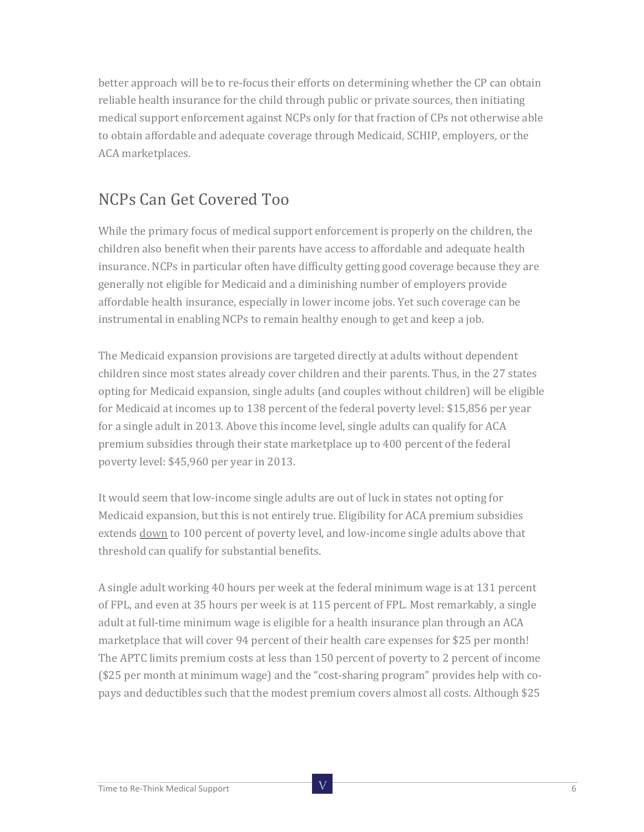better approach will be to re-focus their efforts on determining whether the CP can obtain reliable health insurance for the child through public or private sources, then initiating medical support enforcement against NCPs only for that fraction of CPs not otherwise able to obtain affordable and adequate coverage through Medicaid, SCHIP, employers, or the ACA marketplaces.

#### NCPs Can Get Covered Too

While the primary focus of medical support enforcement is properly on the children, the children also benefit when their parents have access to affordable and adequate health insurance. NCPs in particular often have difficulty getting good coverage because they are generally not eligible for Medicaid and a diminishing number of employers provide affordable health insurance, especially in lower income jobs. Yet such coverage can be instrumental in enabling NCPs to remain healthy enough to get and keep a job.

The Medicaid expansion provisions are targeted directly at adults without dependent children since most states already cover children and their parents. Thus, in the 27 states opting for Medicaid expansion, single adults (and couples without children) will be eligible for Medicaid at incomes up to 138 percent of the federal poverty level: \$15,856 per year for a single adult in 2013. Above this income level, single adults can qualify for ACA premium subsidies through their state marketplace up to 400 percent of the federal poverty level: \$45,960 per year in 2013.

It would seem that low-income single adults are out of luck in states not opting for Medicaid expansion, but this is not entirely true. Eligibility for ACA premium subsidies extends down to 100 percent of poverty level, and low-income single adults above that threshold can qualify for substantial benefits.

A single adult working 40 hours per week at the federal minimum wage is at 131 percent of FPL, and even at 35 hours per week is at 115 percent of FPL. Most remarkably, a single adult at full-time minimum wage is eligible for a health insurance plan through an ACA marketplace that will cover 94 percent of their health care expenses for \$25 per month! The APTC limits premium costs at less than 150 percent of poverty to 2 percent of income (\$25 per month at minimum wage) and the "cost-sharing program" provides help with copays and deductibles such that the modest premium covers almost all costs. Although \$25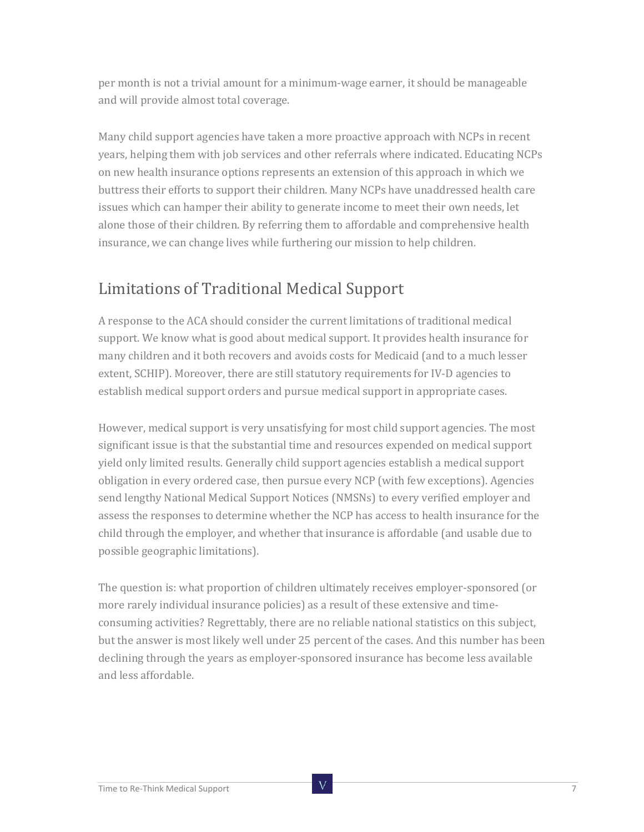per month is not a trivial amount for a minimum-wage earner, it should be manageable and will provide almost total coverage.

Many child support agencies have taken a more proactive approach with NCPs in recent years, helping them with job services and other referrals where indicated. Educating NCPs on new health insurance options represents an extension of this approach in which we buttress their efforts to support their children. Many NCPs have unaddressed health care issues which can hamper their ability to generate income to meet their own needs, let alone those of their children. By referring them to affordable and comprehensive health insurance, we can change lives while furthering our mission to help children.

#### Limitations of Traditional Medical Support

A response to the ACA should consider the current limitations of traditional medical support. We know what is good about medical support. It provides health insurance for many children and it both recovers and avoids costs for Medicaid (and to a much lesser extent, SCHIP). Moreover, there are still statutory requirements for IV-D agencies to establish medical support orders and pursue medical support in appropriate cases.

However, medical support is very unsatisfying for most child support agencies. The most significant issue is that the substantial time and resources expended on medical support yield only limited results. Generally child support agencies establish a medical support obligation in every ordered case, then pursue every NCP (with few exceptions). Agencies send lengthy National Medical Support Notices (NMSNs) to every verified employer and assess the responses to determine whether the NCP has access to health insurance for the child through the employer, and whether that insurance is affordable (and usable due to possible geographic limitations).

The question is: what proportion of children ultimately receives employer-sponsored (or more rarely individual insurance policies) as a result of these extensive and timeconsuming activities? Regrettably, there are no reliable national statistics on this subject, but the answer is most likely well under 25 percent of the cases. And this number has been declining through the years as employer-sponsored insurance has become less available and less affordable.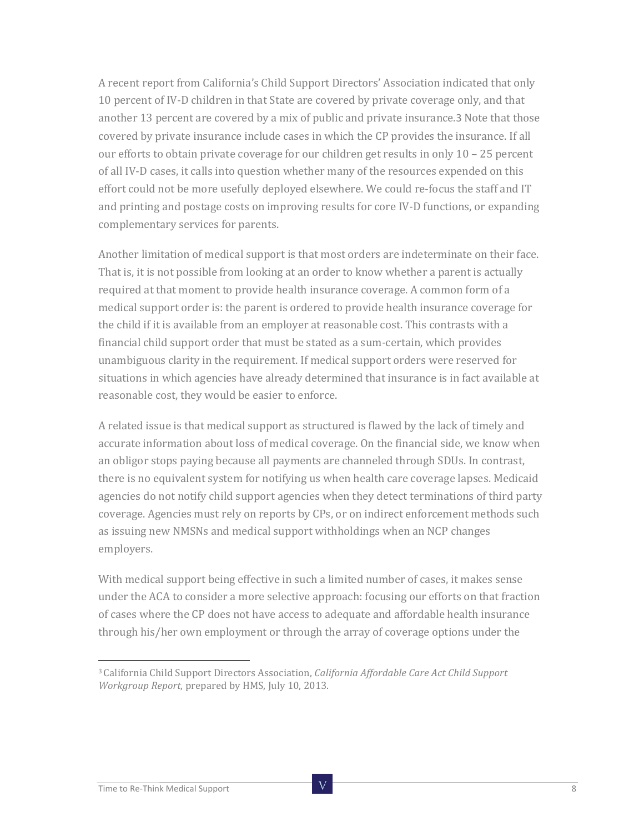A recent report from California's Child Support Directors' Association indicated that only 10 percent of IV-D children in that State are covered by private coverage only, and that another 13 percent are covered by a mix of public and private insurance.3 Note that those covered by private insurance include cases in which the CP provides the insurance. If all our efforts to obtain private coverage for our children get results in only 10 – 25 percent of all IV-D cases, it calls into question whether many of the resources expended on this effort could not be more usefully deployed elsewhere. We could re-focus the staff and IT and printing and postage costs on improving results for core IV-D functions, or expanding complementary services for parents.

Another limitation of medical support is that most orders are indeterminate on their face. That is, it is not possible from looking at an order to know whether a parent is actually required at that moment to provide health insurance coverage. A common form of a medical support order is: the parent is ordered to provide health insurance coverage for the child if it is available from an employer at reasonable cost. This contrasts with a financial child support order that must be stated as a sum-certain, which provides unambiguous clarity in the requirement. If medical support orders were reserved for situations in which agencies have already determined that insurance is in fact available at reasonable cost, they would be easier to enforce.

A related issue is that medical support as structured is flawed by the lack of timely and accurate information about loss of medical coverage. On the financial side, we know when an obligor stops paying because all payments are channeled through SDUs. In contrast, there is no equivalent system for notifying us when health care coverage lapses. Medicaid agencies do not notify child support agencies when they detect terminations of third party coverage. Agencies must rely on reports by CPs, or on indirect enforcement methods such as issuing new NMSNs and medical support withholdings when an NCP changes employers.

With medical support being effective in such a limited number of cases, it makes sense under the ACA to consider a more selective approach: focusing our efforts on that fraction of cases where the CP does not have access to adequate and affordable health insurance through his/her own employment or through the array of coverage options under the

<sup>3</sup> California Child Support Directors Association, *California Affordable Care Act Child Support Workgroup Report*, prepared by HMS, July 10, 2013.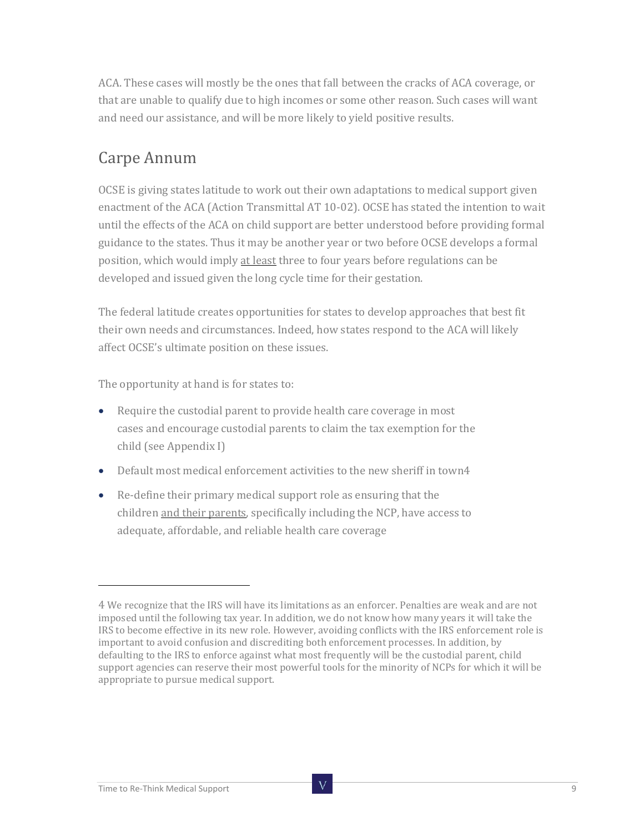ACA. These cases will mostly be the ones that fall between the cracks of ACA coverage, or that are unable to qualify due to high incomes or some other reason. Such cases will want and need our assistance, and will be more likely to yield positive results.

### Carpe Annum

OCSE is giving states latitude to work out their own adaptations to medical support given enactment of the ACA (Action Transmittal AT 10-02). OCSE has stated the intention to wait until the effects of the ACA on child support are better understood before providing formal guidance to the states. Thus it may be another year or two before OCSE develops a formal position, which would imply at least three to four years before regulations can be developed and issued given the long cycle time for their gestation.

The federal latitude creates opportunities for states to develop approaches that best fit their own needs and circumstances. Indeed, how states respond to the ACA will likely affect OCSE's ultimate position on these issues.

The opportunity at hand is for states to:

- Require the custodial parent to provide health care coverage in most cases and encourage custodial parents to claim the tax exemption for the child (see Appendix I)
- Default most medical enforcement activities to the new sheriff in town4
- Re-define their primary medical support role as ensuring that the children and their parents, specifically including the NCP, have access to adequate, affordable, and reliable health care coverage

<sup>4</sup> We recognize that the IRS will have its limitations as an enforcer. Penalties are weak and are not imposed until the following tax year. In addition, we do not know how many years it will take the IRS to become effective in its new role. However, avoiding conflicts with the IRS enforcement role is important to avoid confusion and discrediting both enforcement processes. In addition, by defaulting to the IRS to enforce against what most frequently will be the custodial parent, child support agencies can reserve their most powerful tools for the minority of NCPs for which it will be appropriate to pursue medical support.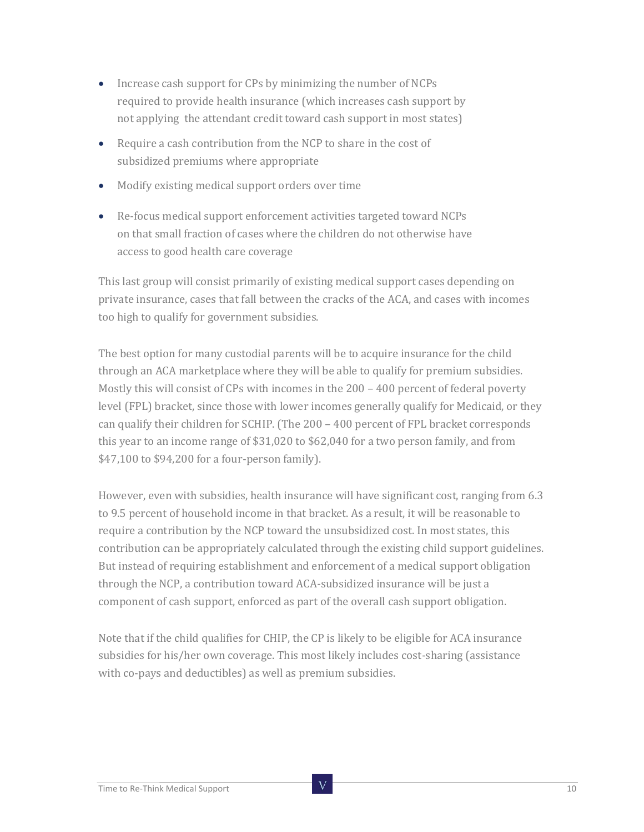- Increase cash support for CPs by minimizing the number of NCPs required to provide health insurance (which increases cash support by not applying the attendant credit toward cash support in most states)
- Require a cash contribution from the NCP to share in the cost of subsidized premiums where appropriate
- Modify existing medical support orders over time
- Re-focus medical support enforcement activities targeted toward NCPs on that small fraction of cases where the children do not otherwise have access to good health care coverage

This last group will consist primarily of existing medical support cases depending on private insurance, cases that fall between the cracks of the ACA, and cases with incomes too high to qualify for government subsidies.

The best option for many custodial parents will be to acquire insurance for the child through an ACA marketplace where they will be able to qualify for premium subsidies. Mostly this will consist of CPs with incomes in the 200 – 400 percent of federal poverty level (FPL) bracket, since those with lower incomes generally qualify for Medicaid, or they can qualify their children for SCHIP. (The 200 – 400 percent of FPL bracket corresponds this year to an income range of \$31,020 to \$62,040 for a two person family, and from \$47,100 to \$94,200 for a four-person family).

However, even with subsidies, health insurance will have significant cost, ranging from 6.3 to 9.5 percent of household income in that bracket. As a result, it will be reasonable to require a contribution by the NCP toward the unsubsidized cost. In most states, this contribution can be appropriately calculated through the existing child support guidelines. But instead of requiring establishment and enforcement of a medical support obligation through the NCP, a contribution toward ACA-subsidized insurance will be just a component of cash support, enforced as part of the overall cash support obligation.

Note that if the child qualifies for CHIP, the CP is likely to be eligible for ACA insurance subsidies for his/her own coverage. This most likely includes cost-sharing (assistance with co-pays and deductibles) as well as premium subsidies.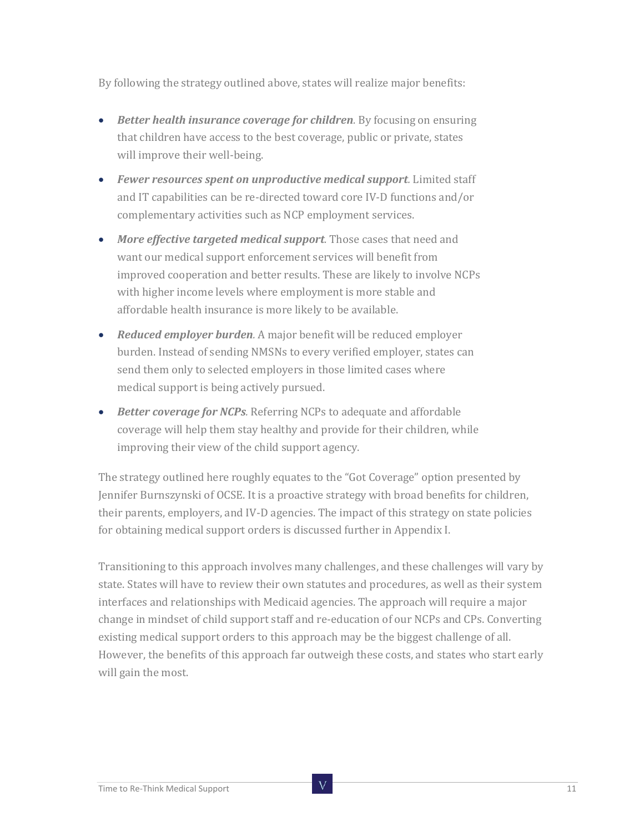By following the strategy outlined above, states will realize major benefits:

- *Better health insurance coverage for children.* By focusing on ensuring that children have access to the best coverage, public or private, states will improve their well-being.
- *Fewer resources spent on unproductive medical support.* Limited staff and IT capabilities can be re-directed toward core IV-D functions and/or complementary activities such as NCP employment services.
- *More effective targeted medical support.* Those cases that need and want our medical support enforcement services will benefit from improved cooperation and better results. These are likely to involve NCPs with higher income levels where employment is more stable and affordable health insurance is more likely to be available.
- *Reduced employer burden.* A major benefit will be reduced employer burden. Instead of sending NMSNs to every verified employer, states can send them only to selected employers in those limited cases where medical support is being actively pursued.
- *Better coverage for NCPs.* Referring NCPs to adequate and affordable coverage will help them stay healthy and provide for their children, while improving their view of the child support agency.

The strategy outlined here roughly equates to the "Got Coverage" option presented by Jennifer Burnszynski of OCSE. It is a proactive strategy with broad benefits for children, their parents, employers, and IV-D agencies. The impact of this strategy on state policies for obtaining medical support orders is discussed further in Appendix I.

Transitioning to this approach involves many challenges, and these challenges will vary by state. States will have to review their own statutes and procedures, as well as their system interfaces and relationships with Medicaid agencies. The approach will require a major change in mindset of child support staff and re-education of our NCPs and CPs. Converting existing medical support orders to this approach may be the biggest challenge of all. However, the benefits of this approach far outweigh these costs, and states who start early will gain the most.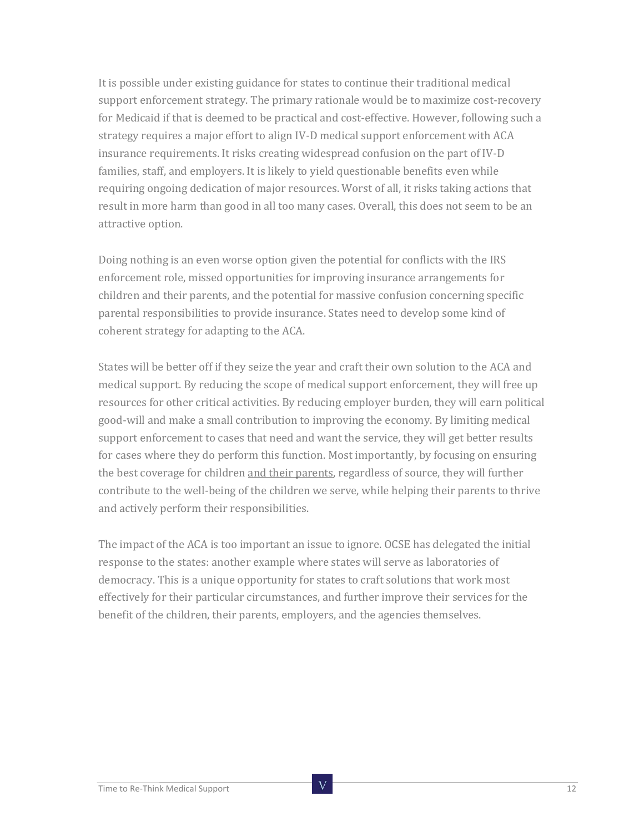It is possible under existing guidance for states to continue their traditional medical support enforcement strategy. The primary rationale would be to maximize cost-recovery for Medicaid if that is deemed to be practical and cost-effective. However, following such a strategy requires a major effort to align IV-D medical support enforcement with ACA insurance requirements. It risks creating widespread confusion on the part of IV-D families, staff, and employers. It is likely to yield questionable benefits even while requiring ongoing dedication of major resources. Worst of all, it risks taking actions that result in more harm than good in all too many cases. Overall, this does not seem to be an attractive option.

Doing nothing is an even worse option given the potential for conflicts with the IRS enforcement role, missed opportunities for improving insurance arrangements for children and their parents, and the potential for massive confusion concerning specific parental responsibilities to provide insurance. States need to develop some kind of coherent strategy for adapting to the ACA.

States will be better off if they seize the year and craft their own solution to the ACA and medical support. By reducing the scope of medical support enforcement, they will free up resources for other critical activities. By reducing employer burden, they will earn political good-will and make a small contribution to improving the economy. By limiting medical support enforcement to cases that need and want the service, they will get better results for cases where they do perform this function. Most importantly, by focusing on ensuring the best coverage for children and their parents, regardless of source, they will further contribute to the well-being of the children we serve, while helping their parents to thrive and actively perform their responsibilities.

The impact of the ACA is too important an issue to ignore. OCSE has delegated the initial response to the states: another example where states will serve as laboratories of democracy. This is a unique opportunity for states to craft solutions that work most effectively for their particular circumstances, and further improve their services for the benefit of the children, their parents, employers, and the agencies themselves.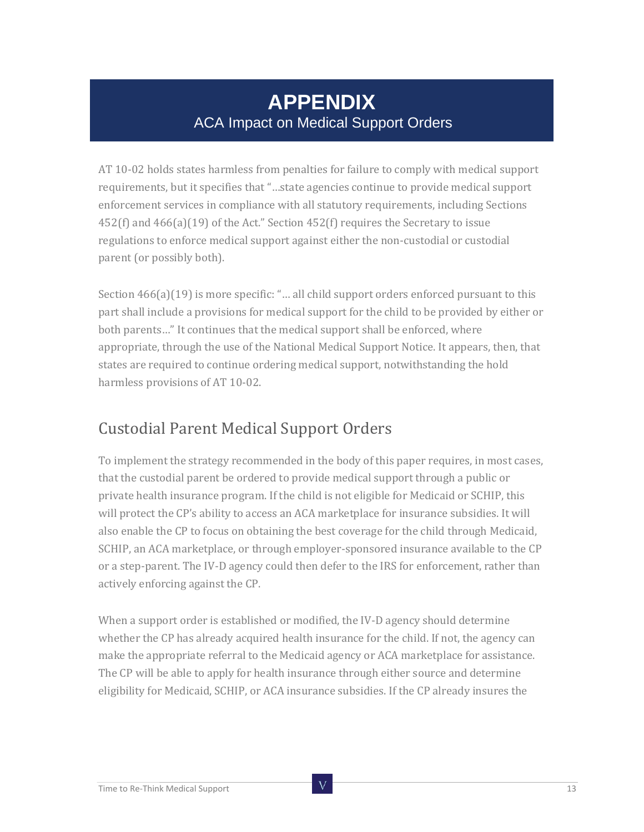## **APPENDIX** ACA Impact on Medical Support Orders

AT 10-02 holds states harmless from penalties for failure to comply with medical support requirements, but it specifies that "…state agencies continue to provide medical support enforcement services in compliance with all statutory requirements, including Sections 452(f) and 466(a)(19) of the Act." Section 452(f) requires the Secretary to issue regulations to enforce medical support against either the non-custodial or custodial parent (or possibly both).

Section 466(a)(19) is more specific: "... all child support orders enforced pursuant to this part shall include a provisions for medical support for the child to be provided by either or both parents…" It continues that the medical support shall be enforced, where appropriate, through the use of the National Medical Support Notice. It appears, then, that states are required to continue ordering medical support, notwithstanding the hold harmless provisions of AT 10-02.

#### Custodial Parent Medical Support Orders

To implement the strategy recommended in the body of this paper requires, in most cases, that the custodial parent be ordered to provide medical support through a public or private health insurance program. If the child is not eligible for Medicaid or SCHIP, this will protect the CP's ability to access an ACA marketplace for insurance subsidies. It will also enable the CP to focus on obtaining the best coverage for the child through Medicaid, SCHIP, an ACA marketplace, or through employer-sponsored insurance available to the CP or a step-parent. The IV-D agency could then defer to the IRS for enforcement, rather than actively enforcing against the CP.

When a support order is established or modified, the IV-D agency should determine whether the CP has already acquired health insurance for the child. If not, the agency can make the appropriate referral to the Medicaid agency or ACA marketplace for assistance. The CP will be able to apply for health insurance through either source and determine eligibility for Medicaid, SCHIP, or ACA insurance subsidies. If the CP already insures the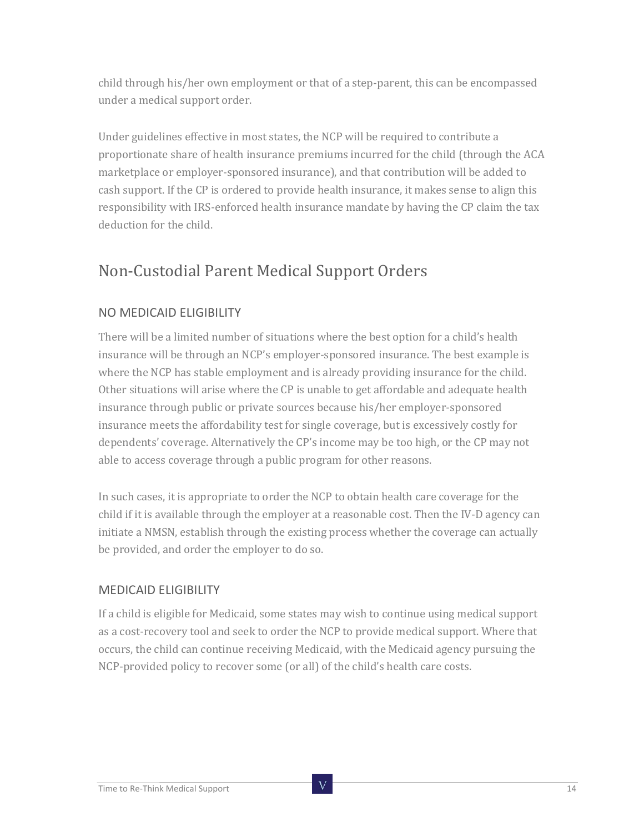child through his/her own employment or that of a step-parent, this can be encompassed under a medical support order.

Under guidelines effective in most states, the NCP will be required to contribute a proportionate share of health insurance premiums incurred for the child (through the ACA marketplace or employer-sponsored insurance), and that contribution will be added to cash support. If the CP is ordered to provide health insurance, it makes sense to align this responsibility with IRS-enforced health insurance mandate by having the CP claim the tax deduction for the child.

### Non-Custodial Parent Medical Support Orders

#### NO MEDICAID ELIGIBILITY

There will be a limited number of situations where the best option for a child's health insurance will be through an NCP's employer-sponsored insurance. The best example is where the NCP has stable employment and is already providing insurance for the child. Other situations will arise where the CP is unable to get affordable and adequate health insurance through public or private sources because his/her employer-sponsored insurance meets the affordability test for single coverage, but is excessively costly for dependents' coverage. Alternatively the CP's income may be too high, or the CP may not able to access coverage through a public program for other reasons.

In such cases, it is appropriate to order the NCP to obtain health care coverage for the child if it is available through the employer at a reasonable cost. Then the IV-D agency can initiate a NMSN, establish through the existing process whether the coverage can actually be provided, and order the employer to do so.

#### MEDICAID ELIGIBILITY

If a child is eligible for Medicaid, some states may wish to continue using medical support as a cost-recovery tool and seek to order the NCP to provide medical support. Where that occurs, the child can continue receiving Medicaid, with the Medicaid agency pursuing the NCP-provided policy to recover some (or all) of the child's health care costs.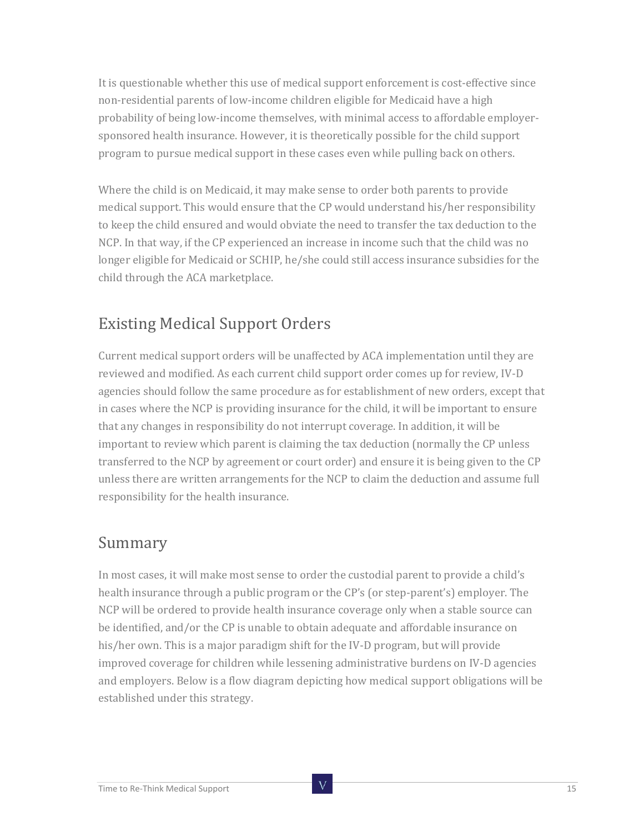It is questionable whether this use of medical support enforcement is cost-effective since non-residential parents of low-income children eligible for Medicaid have a high probability of being low-income themselves, with minimal access to affordable employersponsored health insurance. However, it is theoretically possible for the child support program to pursue medical support in these cases even while pulling back on others.

Where the child is on Medicaid, it may make sense to order both parents to provide medical support. This would ensure that the CP would understand his/her responsibility to keep the child ensured and would obviate the need to transfer the tax deduction to the NCP. In that way, if the CP experienced an increase in income such that the child was no longer eligible for Medicaid or SCHIP, he/she could still access insurance subsidies for the child through the ACA marketplace.

#### Existing Medical Support Orders

Current medical support orders will be unaffected by ACA implementation until they are reviewed and modified. As each current child support order comes up for review, IV-D agencies should follow the same procedure as for establishment of new orders, except that in cases where the NCP is providing insurance for the child, it will be important to ensure that any changes in responsibility do not interrupt coverage. In addition, it will be important to review which parent is claiming the tax deduction (normally the CP unless transferred to the NCP by agreement or court order) and ensure it is being given to the CP unless there are written arrangements for the NCP to claim the deduction and assume full responsibility for the health insurance.

#### Summary

In most cases, it will make most sense to order the custodial parent to provide a child's health insurance through a public program or the CP's (or step-parent's) employer. The NCP will be ordered to provide health insurance coverage only when a stable source can be identified, and/or the CP is unable to obtain adequate and affordable insurance on his/her own. This is a major paradigm shift for the IV-D program, but will provide improved coverage for children while lessening administrative burdens on IV-D agencies and employers. Below is a flow diagram depicting how medical support obligations will be established under this strategy.